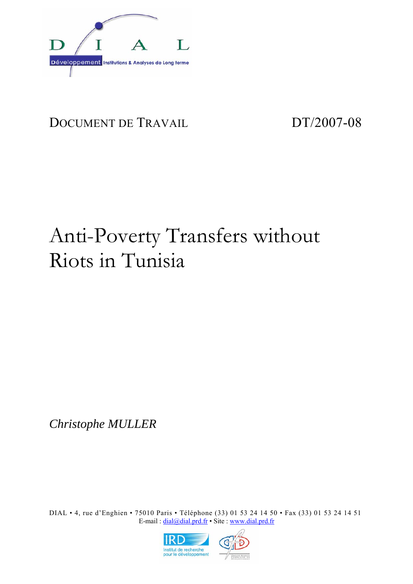

# DOCUMENT DE TRAVAIL DT/2007-08

# Anti-Poverty Transfers without Riots in Tunisia

*Christophe MULLER* 

DIAL • 4, rue d'Enghien • 75010 Paris • Téléphone (33) 01 53 24 14 50 • Fax (33) 01 53 24 14 51 E-mail : dial@dial.prd.fr • Site : www.dial.prd.fr

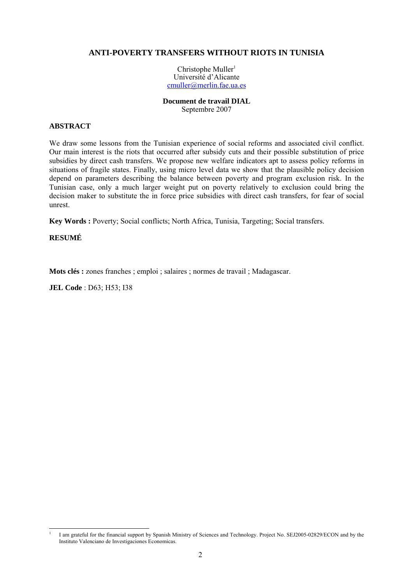#### **ANTI-POVERTY TRANSFERS WITHOUT RIOTS IN TUNISIA**

Christophe Muller<sup>1</sup> Université d'Alicante cmuller@merlin.fae.ua.es

#### **Document de travail DIAL**  Septembre 2007

#### **ABSTRACT**

We draw some lessons from the Tunisian experience of social reforms and associated civil conflict. Our main interest is the riots that occurred after subsidy cuts and their possible substitution of price subsidies by direct cash transfers. We propose new welfare indicators apt to assess policy reforms in situations of fragile states. Finally, using micro level data we show that the plausible policy decision depend on parameters describing the balance between poverty and program exclusion risk. In the Tunisian case, only a much larger weight put on poverty relatively to exclusion could bring the decision maker to substitute the in force price subsidies with direct cash transfers, for fear of social unrest.

**Key Words :** Poverty; Social conflicts; North Africa, Tunisia, Targeting; Social transfers.

#### **RESUMÉ**

**Mots clés :** zones franches ; emploi ; salaires ; normes de travail ; Madagascar.

**JEL Code** : D63; H53; I38

l 1 I am grateful for the financial support by Spanish Ministry of Sciences and Technology. Project No. SEJ2005-02829/ECON and by the Instituto Valenciano de Investigaciones Economicas.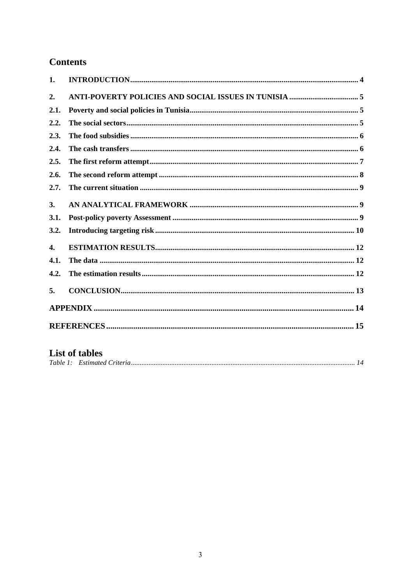## **Contents**

| 1.   |  |
|------|--|
| 2.   |  |
| 2.1. |  |
| 2.2. |  |
| 2.3. |  |
| 2.4. |  |
| 2.5. |  |
| 2.6. |  |
| 2.7. |  |
| 3.   |  |
| 3.1. |  |
| 3.2. |  |
| 4.   |  |
| 4.1. |  |
| 4.2. |  |
| 5.   |  |
|      |  |
|      |  |

### **List of tables**

|--|--|--|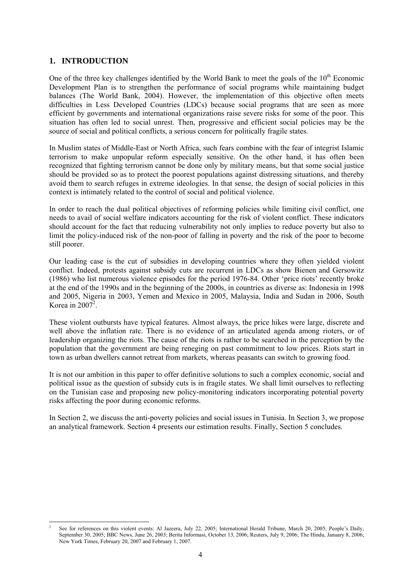#### **1. INTRODUCTION**

One of the three key challenges identified by the World Bank to meet the goals of the  $10<sup>th</sup>$  Economic Development Plan is to strengthen the performance of social programs while maintaining budget balances (The World Bank, 2004). However, the implementation of this objective often meets difficulties in Less Developed Countries (LDCs) because social programs that are seen as more efficient by governments and international organizations raise severe risks for some of the poor. This situation has often led to social unrest. Then, progressive and efficient social policies may be the source of social and political conflicts, a serious concern for politically fragile states.

In Muslim states of Middle-East or North Africa, such fears combine with the fear of integrist Islamic terrorism to make unpopular reform especially sensitive. On the other hand, it has often been recognized that fighting terrorism cannot be done only by military means, but that some social justice should be provided so as to protect the poorest populations against distressing situations, and thereby avoid them to search refuges in extreme ideologies. In that sense, the design of social policies in this context is intimately related to the control of social and political violence.

In order to reach the dual political objectives of reforming policies while limiting civil conflict, one needs to avail of social welfare indicators accounting for the risk of violent conflict. These indicators should account for the fact that reducing vulnerability not only implies to reduce poverty but also to limit the policy-induced risk of the non-poor of falling in poverty and the risk of the poor to become still poorer.

Our leading case is the cut of subsidies in developing countries where they often yielded violent conflict. Indeed, protests against subsidy cuts are recurrent in LDCs as show Bienen and Gersowitz (1986) who list numerous violence episodes for the period 1976-84. Other 'price riots' recently broke at the end of the 1990s and in the beginning of the 2000s, in countries as diverse as: Indonesia in 1998 and 2005, Nigeria in 2003, Yemen and Mexico in 2005, Malaysia, India and Sudan in 2006, South Korea in 2007 $^2$ .

These violent outbursts have typical features. Almost always, the price hikes were large, discrete and well above the inflation rate. There is no evidence of an articulated agenda among rioters, or of leadership organizing the riots. The cause of the riots is rather to be searched in the perception by the population that the government are being reneging on past commitment to low prices. Riots start in town as urban dwellers cannot retreat from markets, whereas peasants can switch to growing food.

It is not our ambition in this paper to offer definitive solutions to such a complex economic, social and political issue as the question of subsidy cuts is in fragile states. We shall limit ourselves to reflecting on the Tunisian case and proposing new policy-monitoring indicators incorporating potential poverty risks affecting the poor during economic reforms.

In Section 2, we discuss the anti-poverty policies and social issues in Tunisia. In Section 3, we propose an analytical framework. Section 4 presents our estimation results. Finally, Section 5 concludes.

l 2 See for references on this violent events: Al Jazeera, July 22, 2005; International Herald Tribune, March 20, 2005; People's Daily, September 30, 2005; BBC News, June 26, 2003; Berita Informasi, October 13, 2006; Reuters, July 9, 2006; The Hindu, January 8, 2006; New York Times, February 20, 2007 and February 1, 2007.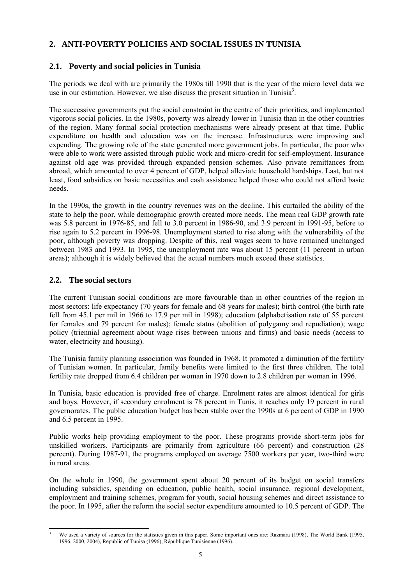#### **2. ANTI-POVERTY POLICIES AND SOCIAL ISSUES IN TUNISIA**

#### **2.1. Poverty and social policies in Tunisia**

The periods we deal with are primarily the 1980s till 1990 that is the year of the micro level data we use in our estimation. However, we also discuss the present situation in Tunisia<sup>3</sup>.

The successive governments put the social constraint in the centre of their priorities, and implemented vigorous social policies. In the 1980s, poverty was already lower in Tunisia than in the other countries of the region. Many formal social protection mechanisms were already present at that time. Public expenditure on health and education was on the increase. Infrastructures were improving and expending. The growing role of the state generated more government jobs. In particular, the poor who were able to work were assisted through public work and micro-credit for self-employment. Insurance against old age was provided through expanded pension schemes. Also private remittances from abroad, which amounted to over 4 percent of GDP, helped alleviate household hardships. Last, but not least, food subsidies on basic necessities and cash assistance helped those who could not afford basic needs.

In the 1990s, the growth in the country revenues was on the decline. This curtailed the ability of the state to help the poor, while demographic growth created more needs. The mean real GDP growth rate was 5.8 percent in 1976-85, and fell to 3.0 percent in 1986-90, and 3.9 percent in 1991-95, before to rise again to 5.2 percent in 1996-98. Unemployment started to rise along with the vulnerability of the poor, although poverty was dropping. Despite of this, real wages seem to have remained unchanged between 1983 and 1993. In 1995, the unemployment rate was about 15 percent (11 percent in urban areas); although it is widely believed that the actual numbers much exceed these statistics.

#### **2.2. The social sectors**

The current Tunisian social conditions are more favourable than in other countries of the region in most sectors: life expectancy (70 years for female and 68 years for males); birth control (the birth rate fell from 45.1 per mil in 1966 to 17.9 per mil in 1998); education (alphabetisation rate of 55 percent for females and 79 percent for males); female status (abolition of polygamy and repudiation); wage policy (triennial agreement about wage rises between unions and firms) and basic needs (access to water, electricity and housing).

The Tunisia family planning association was founded in 1968. It promoted a diminution of the fertility of Tunisian women. In particular, family benefits were limited to the first three children. The total fertility rate dropped from 6.4 children per woman in 1970 down to 2.8 children per woman in 1996.

In Tunisia, basic education is provided free of charge. Enrolment rates are almost identical for girls and boys. However, if secondary enrolment is 78 percent in Tunis, it reaches only 19 percent in rural governorates. The public education budget has been stable over the 1990s at 6 percent of GDP in 1990 and 6.5 percent in 1995.

Public works help providing employment to the poor. These programs provide short-term jobs for unskilled workers. Participants are primarily from agriculture (66 percent) and construction (28 percent). During 1987-91, the programs employed on average 7500 workers per year, two-third were in rural areas.

On the whole in 1990, the government spent about 20 percent of its budget on social transfers including subsidies, spending on education, public health, social insurance, regional development, employment and training schemes, program for youth, social housing schemes and direct assistance to the poor. In 1995, after the reform the social sector expenditure amounted to 10.5 percent of GDP. The

l 3 We used a variety of sources for the statistics given in this paper. Some important ones are: Razmara (1998), The World Bank (1995, 1996, 2000, 2004), Republic of Tunisa (1996), République Tunisienne (1996).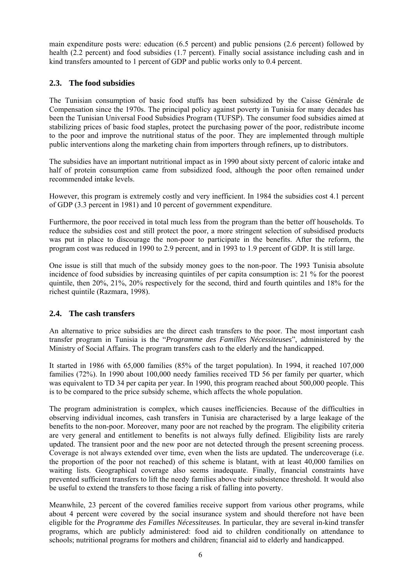main expenditure posts were: education (6.5 percent) and public pensions (2.6 percent) followed by health (2.2 percent) and food subsidies (1.7 percent). Finally social assistance including cash and in kind transfers amounted to 1 percent of GDP and public works only to 0.4 percent.

#### **2.3. The food subsidies**

The Tunisian consumption of basic food stuffs has been subsidized by the Caisse Générale de Compensation since the 1970s. The principal policy against poverty in Tunisia for many decades has been the Tunisian Universal Food Subsidies Program (TUFSP). The consumer food subsidies aimed at stabilizing prices of basic food staples, protect the purchasing power of the poor, redistribute income to the poor and improve the nutritional status of the poor. They are implemented through multiple public interventions along the marketing chain from importers through refiners, up to distributors.

The subsidies have an important nutritional impact as in 1990 about sixty percent of caloric intake and half of protein consumption came from subsidized food, although the poor often remained under recommended intake levels.

However, this program is extremely costly and very inefficient. In 1984 the subsidies cost 4.1 percent of GDP (3.3 percent in 1981) and 10 percent of government expenditure.

Furthermore, the poor received in total much less from the program than the better off households. To reduce the subsidies cost and still protect the poor, a more stringent selection of subsidised products was put in place to discourage the non-poor to participate in the benefits. After the reform, the program cost was reduced in 1990 to 2.9 percent, and in 1993 to 1.9 percent of GDP. It is still large.

One issue is still that much of the subsidy money goes to the non-poor. The 1993 Tunisia absolute incidence of food subsidies by increasing quintiles of per capita consumption is: 21 % for the poorest quintile, then 20%, 21%, 20% respectively for the second, third and fourth quintiles and 18% for the richest quintile (Razmara, 1998).

#### **2.4. The cash transfers**

An alternative to price subsidies are the direct cash transfers to the poor. The most important cash transfer program in Tunisia is the "*Programme des Familles Nécessiteuses*", administered by the Ministry of Social Affairs. The program transfers cash to the elderly and the handicapped.

It started in 1986 with 65,000 families (85% of the target population). In 1994, it reached 107,000 families (72%). In 1990 about 100,000 needy families received TD 56 per family per quarter, which was equivalent to TD 34 per capita per year. In 1990, this program reached about 500,000 people. This is to be compared to the price subsidy scheme, which affects the whole population.

The program administration is complex, which causes inefficiencies. Because of the difficulties in observing individual incomes, cash transfers in Tunisia are characterised by a large leakage of the benefits to the non-poor. Moreover, many poor are not reached by the program. The eligibility criteria are very general and entitlement to benefits is not always fully defined. Eligibility lists are rarely updated. The transient poor and the new poor are not detected through the present screening process. Coverage is not always extended over time, even when the lists are updated. The undercoverage (i.e. the proportion of the poor not reached) of this scheme is blatant, with at least 40,000 families on waiting lists. Geographical coverage also seems inadequate. Finally, financial constraints have prevented sufficient transfers to lift the needy families above their subsistence threshold. It would also be useful to extend the transfers to those facing a risk of falling into poverty.

Meanwhile, 23 percent of the covered families receive support from various other programs, while about 4 percent were covered by the social insurance system and should therefore not have been eligible for the *Programme des Familles Nécessiteuses.* In particular, they are several in-kind transfer programs, which are publicly administered: food aid to children conditionally on attendance to schools; nutritional programs for mothers and children; financial aid to elderly and handicapped.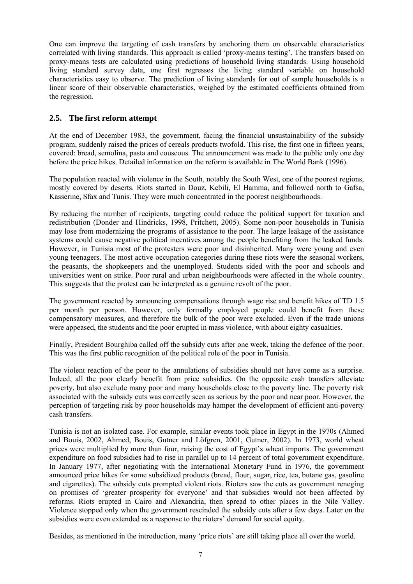One can improve the targeting of cash transfers by anchoring them on observable characteristics correlated with living standards. This approach is called 'proxy-means testing'. The transfers based on proxy-means tests are calculated using predictions of household living standards. Using household living standard survey data, one first regresses the living standard variable on household characteristics easy to observe. The prediction of living standards for out of sample households is a linear score of their observable characteristics, weighed by the estimated coefficients obtained from the regression.

#### **2.5. The first reform attempt**

At the end of December 1983, the government, facing the financial unsustainability of the subsidy program, suddenly raised the prices of cereals products twofold. This rise, the first one in fifteen years, covered: bread, semolina, pasta and couscous. The announcement was made to the public only one day before the price hikes. Detailed information on the reform is available in The World Bank (1996).

The population reacted with violence in the South, notably the South West, one of the poorest regions, mostly covered by deserts. Riots started in Douz, Kebili, El Hamma, and followed north to Gafsa, Kasserine, Sfax and Tunis. They were much concentrated in the poorest neighbourhoods.

By reducing the number of recipients, targeting could reduce the political support for taxation and redistribution (Donder and Hindricks, 1998, Pritchett, 2005). Some non-poor households in Tunisia may lose from modernizing the programs of assistance to the poor. The large leakage of the assistance systems could cause negative political incentives among the people benefiting from the leaked funds. However, in Tunisia most of the protesters were poor and disinherited. Many were young and even young teenagers. The most active occupation categories during these riots were the seasonal workers, the peasants, the shopkeepers and the unemployed. Students sided with the poor and schools and universities went on strike. Poor rural and urban neighbourhoods were affected in the whole country. This suggests that the protest can be interpreted as a genuine revolt of the poor.

The government reacted by announcing compensations through wage rise and benefit hikes of TD 1.5 per month per person. However, only formally employed people could benefit from these compensatory measures, and therefore the bulk of the poor were excluded. Even if the trade unions were appeased, the students and the poor erupted in mass violence, with about eighty casualties.

Finally, President Bourghiba called off the subsidy cuts after one week, taking the defence of the poor. This was the first public recognition of the political role of the poor in Tunisia.

The violent reaction of the poor to the annulations of subsidies should not have come as a surprise. Indeed, all the poor clearly benefit from price subsidies. On the opposite cash transfers alleviate poverty, but also exclude many poor and many households close to the poverty line. The poverty risk associated with the subsidy cuts was correctly seen as serious by the poor and near poor. However, the perception of targeting risk by poor households may hamper the development of efficient anti-poverty cash transfers.

Tunisia is not an isolated case. For example, similar events took place in Egypt in the 1970s (Ahmed and Bouis, 2002, Ahmed, Bouis, Gutner and Löfgren, 2001, Gutner, 2002). In 1973, world wheat prices were multiplied by more than four, raising the cost of Egypt's wheat imports. The government expenditure on food subsidies had to rise in parallel up to 14 percent of total government expenditure. In January 1977, after negotiating with the International Monetary Fund in 1976, the government announced price hikes for some subsidized products (bread, flour, sugar, rice, tea, butane gas, gasoline and cigarettes). The subsidy cuts prompted violent riots. Rioters saw the cuts as government reneging on promises of 'greater prosperity for everyone' and that subsidies would not been affected by reforms. Riots erupted in Cairo and Alexandria, then spread to other places in the Nile Valley. Violence stopped only when the government rescinded the subsidy cuts after a few days. Later on the subsidies were even extended as a response to the rioters' demand for social equity.

Besides, as mentioned in the introduction, many 'price riots' are still taking place all over the world.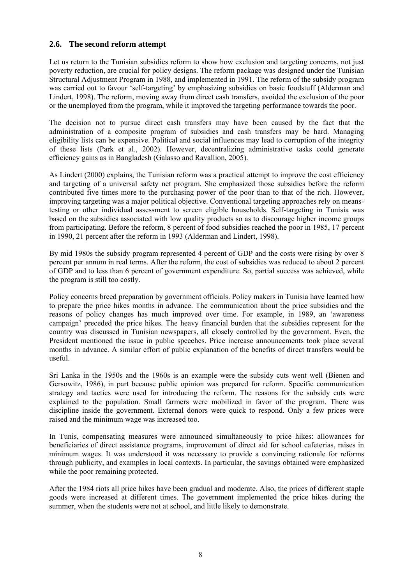#### **2.6. The second reform attempt**

Let us return to the Tunisian subsidies reform to show how exclusion and targeting concerns, not just poverty reduction, are crucial for policy designs. The reform package was designed under the Tunisian Structural Adjustment Program in 1988, and implemented in 1991. The reform of the subsidy program was carried out to favour 'self-targeting' by emphasizing subsidies on basic foodstuff (Alderman and Lindert, 1998). The reform, moving away from direct cash transfers, avoided the exclusion of the poor or the unemployed from the program, while it improved the targeting performance towards the poor.

The decision not to pursue direct cash transfers may have been caused by the fact that the administration of a composite program of subsidies and cash transfers may be hard. Managing eligibility lists can be expensive. Political and social influences may lead to corruption of the integrity of these lists (Park et al., 2002). However, decentralizing administrative tasks could generate efficiency gains as in Bangladesh (Galasso and Ravallion, 2005).

As Lindert (2000) explains, the Tunisian reform was a practical attempt to improve the cost efficiency and targeting of a universal safety net program. She emphasized those subsidies before the reform contributed five times more to the purchasing power of the poor than to that of the rich. However, improving targeting was a major political objective. Conventional targeting approaches rely on meanstesting or other individual assessment to screen eligible households. Self-targeting in Tunisia was based on the subsidies associated with low quality products so as to discourage higher income groups from participating. Before the reform, 8 percent of food subsidies reached the poor in 1985, 17 percent in 1990, 21 percent after the reform in 1993 (Alderman and Lindert, 1998).

By mid 1980s the subsidy program represented 4 percent of GDP and the costs were rising by over 8 percent per annum in real terms. After the reform, the cost of subsidies was reduced to about 2 percent of GDP and to less than 6 percent of government expenditure. So, partial success was achieved, while the program is still too costly.

Policy concerns breed preparation by government officials. Policy makers in Tunisia have learned how to prepare the price hikes months in advance. The communication about the price subsidies and the reasons of policy changes has much improved over time. For example, in 1989, an 'awareness campaign' preceded the price hikes. The heavy financial burden that the subsidies represent for the country was discussed in Tunisian newspapers, all closely controlled by the government. Even, the President mentioned the issue in public speeches. Price increase announcements took place several months in advance. A similar effort of public explanation of the benefits of direct transfers would be useful.

Sri Lanka in the 1950s and the 1960s is an example were the subsidy cuts went well (Bienen and Gersowitz, 1986), in part because public opinion was prepared for reform. Specific communication strategy and tactics were used for introducing the reform. The reasons for the subsidy cuts were explained to the population. Small farmers were mobilized in favor of the program. There was discipline inside the government. External donors were quick to respond. Only a few prices were raised and the minimum wage was increased too.

In Tunis, compensating measures were announced simultaneously to price hikes: allowances for beneficiaries of direct assistance programs, improvement of direct aid for school cafeterias, raises in minimum wages. It was understood it was necessary to provide a convincing rationale for reforms through publicity, and examples in local contexts. In particular, the savings obtained were emphasized while the poor remaining protected.

After the 1984 riots all price hikes have been gradual and moderate. Also, the prices of different staple goods were increased at different times. The government implemented the price hikes during the summer, when the students were not at school, and little likely to demonstrate.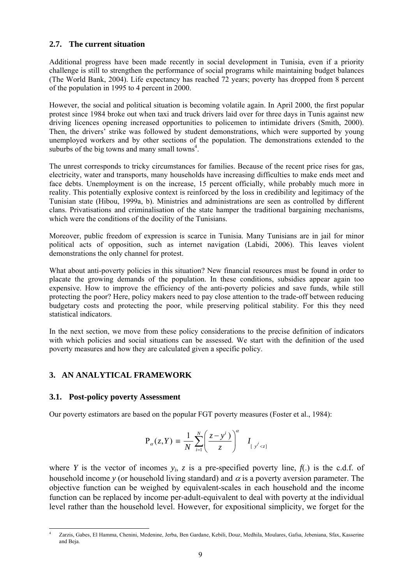#### **2.7. The current situation**

Additional progress have been made recently in social development in Tunisia, even if a priority challenge is still to strengthen the performance of social programs while maintaining budget balances (The World Bank, 2004). Life expectancy has reached 72 years; poverty has dropped from 8 percent of the population in 1995 to 4 percent in 2000.

However, the social and political situation is becoming volatile again. In April 2000, the first popular protest since 1984 broke out when taxi and truck drivers laid over for three days in Tunis against new driving licences opening increased opportunities to policemen to intimidate drivers (Smith, 2000). Then, the drivers' strike was followed by student demonstrations, which were supported by young unemployed workers and by other sections of the population. The demonstrations extended to the suburbs of the big towns and many small towns<sup>4</sup>.

The unrest corresponds to tricky circumstances for families. Because of the recent price rises for gas, electricity, water and transports, many households have increasing difficulties to make ends meet and face debts. Unemployment is on the increase, 15 percent officially, while probably much more in reality. This potentially explosive context is reinforced by the loss in credibility and legitimacy of the Tunisian state (Hibou, 1999a, b). Ministries and administrations are seen as controlled by different clans. Privatisations and criminalisation of the state hamper the traditional bargaining mechanisms, which were the conditions of the docility of the Tunisians.

Moreover, public freedom of expression is scarce in Tunisia. Many Tunisians are in jail for minor political acts of opposition, such as internet navigation (Labidi, 2006). This leaves violent demonstrations the only channel for protest.

What about anti-poverty policies in this situation? New financial resources must be found in order to placate the growing demands of the population. In these conditions, subsidies appear again too expensive. How to improve the efficiency of the anti-poverty policies and save funds, while still protecting the poor? Here, policy makers need to pay close attention to the trade-off between reducing budgetary costs and protecting the poor, while preserving political stability. For this they need statistical indicators.

In the next section, we move from these policy considerations to the precise definition of indicators with which policies and social situations can be assessed. We start with the definition of the used poverty measures and how they are calculated given a specific policy.

#### **3. AN ANALYTICAL FRAMEWORK**

#### **3.1. Post-policy poverty Assessment**

Our poverty estimators are based on the popular FGT poverty measures (Foster et al., 1984):

$$
\mathbf{P}_{\alpha}(z,Y) \equiv \frac{1}{N} \sum_{i=1}^{N} \left( \frac{z - y^{i}}{z} \right)^{\alpha} I_{[y^{i} < z]}
$$

where *Y* is the vector of incomes  $y_i$ , *z* is a pre-specified poverty line,  $f(.)$  is the c.d.f. of household income *y* (or household living standard) and  $\alpha$  is a poverty aversion parameter. The objective function can be weighed by equivalent-scales in each household and the income function can be replaced by income per-adult-equivalent to deal with poverty at the individual level rather than the household level. However, for expositional simplicity, we forget for the

l 4 Zarzis, Gabes, El Hamma, Chenini, Medenine, Jerba, Ben Gardane, Kebili, Douz, Medhila, Moulares, Gafsa, Jebeniana, Sfax, Kasserine and Beja.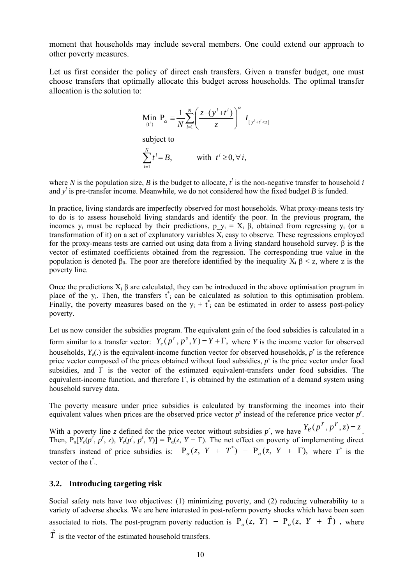moment that households may include several members. One could extend our approach to other poverty measures.

Let us first consider the policy of direct cash transfers. Given a transfer budget, one must choose transfers that optimally allocate this budget across households. The optimal transfer allocation is the solution to:

$$
\begin{aligned}\n\text{Min}_{\{\mathbf{t}^i\}} \ \mathbf{P}_{\alpha} &= \frac{1}{N} \sum_{i=1}^N \left( \frac{z - (y^i + t^i)}{z} \right)^{\alpha} \ I_{\{y^i + t^i < z\}} \\
\text{subject to} \\
\sum_{i=1}^N t^i &= B, \qquad \text{with } t^i \ge 0, \forall i,\n\end{aligned}
$$

where *N* is the population size, *B* is the budget to allocate,  $t^i$  is the non-negative transfer to household *i* and  $y^i$  is pre-transfer income. Meanwhile, we do not considered how the fixed budget *B* is funded.

In practice, living standards are imperfectly observed for most households. What proxy-means tests try to do is to assess household living standards and identify the poor. In the previous program, the incomes y<sub>i</sub> must be replaced by their predictions, p  $y_i = X_i \beta$ , obtained from regressing y<sub>i</sub> (or a transformation of it) on a set of explanatory variables  $\overline{X}_i$  easy to observe. These regressions employed for the proxy-means tests are carried out using data from a living standard household survey. β is the vector of estimated coefficients obtained from the regression. The corresponding true value in the population is denoted  $\beta_0$ . The poor are therefore identified by the inequality  $X_i \beta \leq z$ , where z is the poverty line.

Once the predictions  $X_i$  β are calculated, they can be introduced in the above optimisation program in place of the  $y_i$ . Then, the transfers  $t_i$  can be calculated as solution to this optimisation problem. Finally, the poverty measures based on the  $y_i + t_i$  can be estimated in order to assess post-policy poverty.

Let us now consider the subsidies program. The equivalent gain of the food subsidies is calculated in a form similar to a transfer vector:  $Y_e(p^r, p^s, Y) = Y + \Gamma$ , where *Y* is the income vector for observed households,  $Y_e(.)$  is the equivalent-income function vector for observed households,  $p^r$  is the reference price vector composed of the prices obtained without food subsidies, *p<sup>s</sup>* is the price vector under food subsidies, and  $\Gamma$  is the vector of the estimated equivalent-transfers under food subsidies. The equivalent-income function, and therefore  $\Gamma$ , is obtained by the estimation of a demand system using household survey data.

The poverty measure under price subsidies is calculated by transforming the incomes into their equivalent values when prices are the observed price vector  $p^s$  instead of the reference price vector  $p^r$ .

With a poverty line *z* defined for the price vector without subsidies  $p^r$ , we have  $Y_e(p^r, p^r, z) = z$ . Then,  $P_{\alpha}[Y_e(p^r, p^r, z), Y_e(p^r, p^s, Y)] = P_{\alpha}(z, Y + \Gamma)$ . The net effect on poverty of implementing direct transfers instead of price subsidies is:  $P_{\alpha}(z, Y + T^*) - P_{\alpha}(z, Y + \Gamma)$ , where  $T^*$  is the vector of the  $t^*$ .

#### **3.2. Introducing targeting risk**

Social safety nets have two objectives: (1) minimizing poverty, and (2) reducing vulnerability to a variety of adverse shocks. We are here interested in post-reform poverty shocks which have been seen associated to riots. The post-program poverty reduction is  $P_{\alpha}(z, Y) - P_{\alpha}(z, Y + \hat{T})$ , where  $\hat{T}$  is the vector of the estimated household transfers.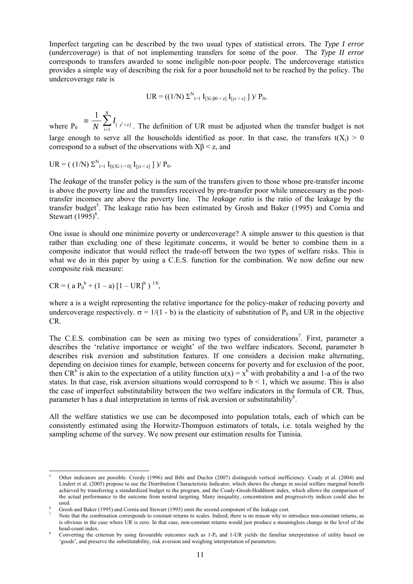Imperfect targeting can be described by the two usual types of statistical errors. The *Type I error*  (*undercoverage*) is that of not implementing transfers for some of the poor. The *Type II error* corresponds to transfers awarded to some ineligible non-poor people. The undercoverage statistics provides a simple way of describing the risk for a poor household not to be reached by the policy. The undercoverage rate is

$$
UR = ((1/N) \Sigma_{i=1}^{N} I_{[Xi\ \beta 0 > z]} I_{[yi < z]}]) / P_0,
$$

where  $P_0$   $N \sum_{i=1}^{N} [y^i \leq z]$  $\frac{1}{\sigma} \sum_{i=1}^{N} I_{ij}$ *N*  $\sum_{i=1}^n [y^i < z]$ *I*  $\equiv \frac{1}{N} \sum_{i=1}^{N} I_{[y^i < z]}$ . The definition of UR must be adjusted when the transfer budget is not large enough to serve all the households identified as poor. In that case, the transfers  $t(X_i) > 0$ correspond to a subset of the observations with  $X\beta < z$ , and

$$
UR = ( (1/N) \Sigma_{i=1}^{N} I_{[t(Xi) = 0]} I_{[yi < z]} ] )/ P_0.
$$

The *leakage* of the transfer policy is the sum of the transfers given to those whose pre-transfer income is above the poverty line and the transfers received by pre-transfer poor while unnecessary as the posttransfer incomes are above the poverty line. The *leakage ratio* is the ratio of the leakage by the transfer budget<sup>5</sup>. The leakage ratio has been estimated by Grosh and Baker (1995) and Cornia and Stewart  $(1995)^6$ .

One issue is should one minimize poverty or undercoverage? A simple answer to this question is that rather than excluding one of these legitimate concerns, it would be better to combine them in a composite indicator that would reflect the trade-off between the two types of welfare risks. This is what we do in this paper by using a C.E.S. function for the combination. We now define our new composite risk measure:

$$
CR = ( a P_0^b + (1 - a) [1 - UR]^b )^{1/b},
$$

l

where a is a weight representing the relative importance for the policy-maker of reducing poverty and undercoverage respectively.  $\sigma = 1/(1 - b)$  is the elasticity of substitution of P<sub>0</sub> and UR in the objective CR.

The C.E.S. combination can be seen as mixing two types of considerations<sup>7</sup>. First, parameter a describes the 'relative importance or weight' of the two welfare indicators. Second, parameter b describes risk aversion and substitution features. If one considers a decision make alternating, depending on decision times for example, between concerns for poverty and for exclusion of the poor, then CR<sup>b</sup> is akin to the expectation of a utility function  $u(x) = x^b$  with probability a and 1-a of the two states. In that case, risk aversion situations would correspond to  $b < 1$ , which we assume. This is also the case of imperfect substitutability between the two welfare indicators in the formula of CR. Thus, parameter b has a dual interpretation in terms of risk aversion or substitutability<sup>8</sup>.

All the welfare statistics we use can be decomposed into population totals, each of which can be consistently estimated using the Horwitz-Thompson estimators of totals, i.e. totals weighed by the sampling scheme of the survey. We now present our estimation results for Tunisia.

<sup>5</sup> Other indicators are possible. Creedy (1996) and Bibi and Duclos (2007) distinguish vertical inefficiency. Coady et al. (2004) and Lindert et al. (2005) propose to use the Distribution Characteristic Indicator, which shows the change in social welfare marginal benefit achieved by transferring a standardized budget to the program, and the Coady-Grosh-Hoddinott index, which allows the comparison of the actual performance to the outcome from neutral targeting. Many inequality, concentration and progressivity indices could also be used. 6

Grosh and Baker (1995) and Cornia and Stewart (1995) omit the second component of the leakage cost. 7

Note that the combination corresponds to constant returns to scales. Indeed, there is no reason why to introduce non-constant returns, as is obvious in the case where UR is zero. In that case, non-constant returns would just produce a meaningless change in the level of the head-count index.

Converting the criterion by using favourable outcomes such as  $1-P<sub>0</sub>$  and  $1-UR$  yields the familiar interpretation of utility based on 'goods', and preserve the substitutability, risk aversion and weighing interpretation of parameters.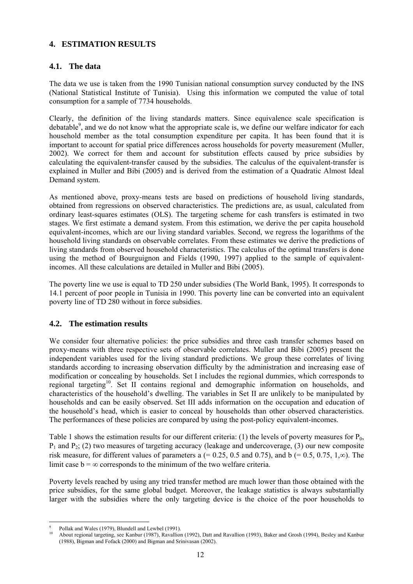#### **4. ESTIMATION RESULTS**

#### **4.1. The data**

The data we use is taken from the 1990 Tunisian national consumption survey conducted by the INS (National Statistical Institute of Tunisia). Using this information we computed the value of total consumption for a sample of 7734 households.

Clearly, the definition of the living standards matters. Since equivalence scale specification is debatable<sup>9</sup>, and we do not know what the appropriate scale is, we define our welfare indicator for each household member as the total consumption expenditure per capita. It has been found that it is important to account for spatial price differences across households for poverty measurement (Muller, 2002). We correct for them and account for substitution effects caused by price subsidies by calculating the equivalent-transfer caused by the subsidies. The calculus of the equivalent-transfer is explained in Muller and Bibi (2005) and is derived from the estimation of a Quadratic Almost Ideal Demand system.

As mentioned above, proxy-means tests are based on predictions of household living standards, obtained from regressions on observed characteristics. The predictions are, as usual, calculated from ordinary least-squares estimates (OLS). The targeting scheme for cash transfers is estimated in two stages. We first estimate a demand system. From this estimation, we derive the per capita household equivalent-incomes, which are our living standard variables. Second, we regress the logarithms of the household living standards on observable correlates. From these estimates we derive the predictions of living standards from observed household characteristics. The calculus of the optimal transfers is done using the method of Bourguignon and Fields (1990, 1997) applied to the sample of equivalentincomes. All these calculations are detailed in Muller and Bibi (2005).

The poverty line we use is equal to TD 250 under subsidies (The World Bank, 1995). It corresponds to 14.1 percent of poor people in Tunisia in 1990. This poverty line can be converted into an equivalent poverty line of TD 280 without in force subsidies.

#### **4.2. The estimation results**

We consider four alternative policies: the price subsidies and three cash transfer schemes based on proxy-means with three respective sets of observable correlates. Muller and Bibi (2005) present the independent variables used for the living standard predictions. We group these correlates of living standards according to increasing observation difficulty by the administration and increasing ease of modification or concealing by households. Set I includes the regional dummies, which corresponds to regional targeting<sup>10</sup>. Set II contains regional and demographic information on households, and characteristics of the household's dwelling. The variables in Set II are unlikely to be manipulated by households and can be easily observed. Set III adds information on the occupation and education of the household's head, which is easier to conceal by households than other observed characteristics. The performances of these policies are compared by using the post-policy equivalent-incomes.

Table 1 shows the estimation results for our different criteria: (1) the levels of poverty measures for  $P_0$ ,  $P_1$  and  $P_2$ ; (2) two measures of targeting accuracy (leakage and undercoverage, (3) our new composite risk measure, for different values of parameters a  $(= 0.25, 0.5, 0.75)$ , and  $\bar{b}$  ( $= 0.5, 0.75, 1, \infty$ ). The limit case  $b = \infty$  corresponds to the minimum of the two welfare criteria.

Poverty levels reached by using any tried transfer method are much lower than those obtained with the price subsidies, for the same global budget. Moreover, the leakage statistics is always substantially larger with the subsidies where the only targeting device is the choice of the poor households to

l 9 Pollak and Wales (1979), Blundell and Lewbel (1991).

<sup>10</sup> About regional targeting, see Kanbur (1987), Ravallion (1992), Datt and Ravallion (1993), Baker and Grosh (1994), Besley and Kanbur (1988), Bigman and Fofack (2000) and Bigman and Srinivasan (2002).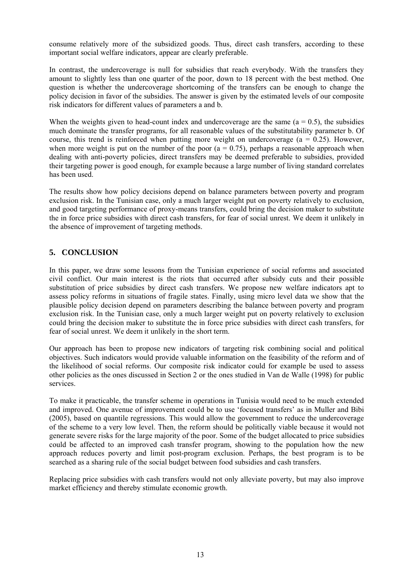consume relatively more of the subsidized goods. Thus, direct cash transfers, according to these important social welfare indicators, appear are clearly preferable.

In contrast, the undercoverage is null for subsidies that reach everybody. With the transfers they amount to slightly less than one quarter of the poor, down to 18 percent with the best method. One question is whether the undercoverage shortcoming of the transfers can be enough to change the policy decision in favor of the subsidies. The answer is given by the estimated levels of our composite risk indicators for different values of parameters a and b.

When the weights given to head-count index and undercoverage are the same  $(a = 0.5)$ , the subsidies much dominate the transfer programs, for all reasonable values of the substitutability parameter b. Of course, this trend is reinforced when putting more weight on undercoverage  $(a = 0.25)$ . However, when more weight is put on the number of the poor  $(a = 0.75)$ , perhaps a reasonable approach when dealing with anti-poverty policies, direct transfers may be deemed preferable to subsidies, provided their targeting power is good enough, for example because a large number of living standard correlates has been used.

The results show how policy decisions depend on balance parameters between poverty and program exclusion risk. In the Tunisian case, only a much larger weight put on poverty relatively to exclusion, and good targeting performance of proxy-means transfers, could bring the decision maker to substitute the in force price subsidies with direct cash transfers, for fear of social unrest. We deem it unlikely in the absence of improvement of targeting methods.

#### **5. CONCLUSION**

In this paper, we draw some lessons from the Tunisian experience of social reforms and associated civil conflict. Our main interest is the riots that occurred after subsidy cuts and their possible substitution of price subsidies by direct cash transfers. We propose new welfare indicators apt to assess policy reforms in situations of fragile states. Finally, using micro level data we show that the plausible policy decision depend on parameters describing the balance between poverty and program exclusion risk. In the Tunisian case, only a much larger weight put on poverty relatively to exclusion could bring the decision maker to substitute the in force price subsidies with direct cash transfers, for fear of social unrest. We deem it unlikely in the short term.

Our approach has been to propose new indicators of targeting risk combining social and political objectives. Such indicators would provide valuable information on the feasibility of the reform and of the likelihood of social reforms. Our composite risk indicator could for example be used to assess other policies as the ones discussed in Section 2 or the ones studied in Van de Walle (1998) for public services.

To make it practicable, the transfer scheme in operations in Tunisia would need to be much extended and improved. One avenue of improvement could be to use 'focused transfers' as in Muller and Bibi (2005), based on quantile regressions. This would allow the government to reduce the undercoverage of the scheme to a very low level. Then, the reform should be politically viable because it would not generate severe risks for the large majority of the poor. Some of the budget allocated to price subsidies could be affected to an improved cash transfer program, showing to the population how the new approach reduces poverty and limit post-program exclusion. Perhaps, the best program is to be searched as a sharing rule of the social budget between food subsidies and cash transfers.

Replacing price subsidies with cash transfers would not only alleviate poverty, but may also improve market efficiency and thereby stimulate economic growth.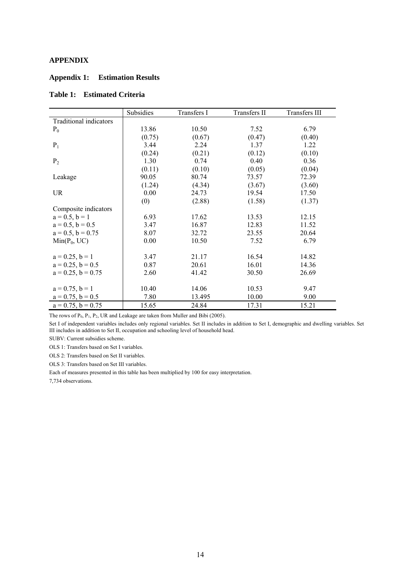#### **APPENDIX**

#### **Appendix 1: Estimation Results**

#### **Table 1: Estimated Criteria**

|                               | Subsidies | Transfers I | Transfers II | Transfers III |
|-------------------------------|-----------|-------------|--------------|---------------|
| <b>Traditional indicators</b> |           |             |              |               |
| $P_0$                         | 13.86     | 10.50       | 7.52         | 6.79          |
|                               | (0.75)    | (0.67)      | (0.47)       | (0.40)        |
| $P_1$                         | 3.44      | 2.24        | 1.37         | 1.22          |
|                               | (0.24)    | (0.21)      | (0.12)       | (0.10)        |
| P <sub>2</sub>                | 1.30      | 0.74        | 0.40         | 0.36          |
|                               | (0.11)    | (0.10)      | (0.05)       | (0.04)        |
| Leakage                       | 90.05     | 80.74       | 73.57        | 72.39         |
|                               | (1.24)    | (4.34)      | (3.67)       | (3.60)        |
| <b>UR</b>                     | 0.00      | 24.73       | 19.54        | 17.50         |
|                               | (0)       | (2.88)      | (1.58)       | (1.37)        |
| Composite indicators          |           |             |              |               |
| $a = 0.5, b = 1$              | 6.93      | 17.62       | 13.53        | 12.15         |
| $a = 0.5$ , $b = 0.5$         | 3.47      | 16.87       | 12.83        | 11.52         |
| $a = 0.5$ , $b = 0.75$        | 8.07      | 32.72       | 23.55        | 20.64         |
| $Min(P_0, UC)$                | 0.00      | 10.50       | 7.52         | 6.79          |
|                               |           |             |              |               |
| $a = 0.25, b = 1$             | 3.47      | 21.17       | 16.54        | 14.82         |
| $a = 0.25$ , $b = 0.5$        | 0.87      | 20.61       | 16.01        | 14.36         |
| $a = 0.25$ , $b = 0.75$       | 2.60      | 41.42       | 30.50        | 26.69         |
|                               |           |             |              |               |
| $a = 0.75, b = 1$             | 10.40     | 14.06       | 10.53        | 9.47          |
| $a = 0.75$ , $b = 0.5$        | 7.80      | 13.495      | 10.00        | 9.00          |
| $a = 0.75$ , $b = 0.75$       | 15.65     | 24.84       | 17.31        | 15.21         |

The rows of  $P_0$ ,  $P_1$ ,  $P_2$ , UR and Leakage are taken from Muller and Bibi (2005).

Set I of independent variables includes only regional variables. Set II includes in addition to Set I, demographic and dwelling variables. Set III includes in addition to Set II, occupation and schooling level of household head.

SUBV: Current subsidies scheme.

OLS 1: Transfers based on Set I variables.

OLS 2: Transfers based on Set II variables.

OLS 3: Transfers based on Set III variables.

Each of measures presented in this table has been multiplied by 100 for easy interpretation.

7,734 observations.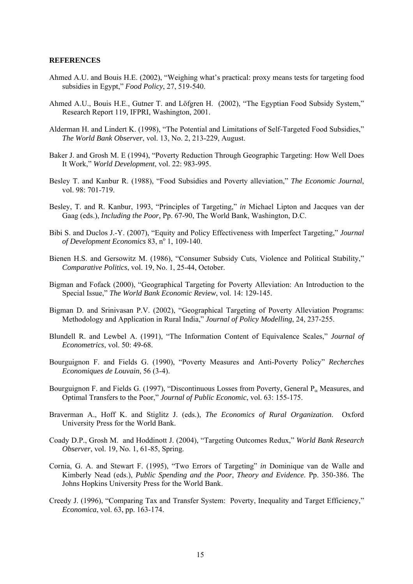#### **REFERENCES**

- Ahmed A.U. and Bouis H.E. (2002), "Weighing what's practical: proxy means tests for targeting food subsidies in Egypt," *Food Policy*, 27, 519-540.
- Ahmed A.U., Bouis H.E., Gutner T. and Löfgren H. (2002), "The Egyptian Food Subsidy System," Research Report 119, IFPRI, Washington, 2001.
- Alderman H. and Lindert K. (1998), "The Potential and Limitations of Self-Targeted Food Subsidies," *The World Bank Observer*, vol. 13, No. 2, 213-229, August.
- Baker J. and Grosh M. E (1994), "Poverty Reduction Through Geographic Targeting: How Well Does It Work," *World Development*, vol. 22: 983-995.
- Besley T. and Kanbur R. (1988), "Food Subsidies and Poverty alleviation," *The Economic Journal*, vol. 98: 701-719.
- Besley, T. and R. Kanbur, 1993, "Principles of Targeting," *in* Michael Lipton and Jacques van der Gaag (eds.), *Including the Poor,* Pp. 67-90, The World Bank, Washington, D.C.
- Bibi S. and Duclos J.-Y. (2007), "Equity and Policy Effectiveness with Imperfect Targeting," *Journal*  of Development Economics 83, n<sup>o</sup> 1, 109-140.
- Bienen H.S. and Gersowitz M. (1986), "Consumer Subsidy Cuts, Violence and Political Stability," *Comparative Politics*, vol. 19, No. 1, 25-44, October.
- Bigman and Fofack (2000), "Geographical Targeting for Poverty Alleviation: An Introduction to the Special Issue," *The World Bank Economic Review*, vol. 14: 129-145.
- Bigman D. and Srinivasan P.V. (2002), "Geographical Targeting of Poverty Alleviation Programs: Methodology and Application in Rural India," *Journal of Policy Modelling*, 24, 237-255.
- Blundell R. and Lewbel A. (1991), "The Information Content of Equivalence Scales," *Journal of Econometrics*, vol. 50: 49-68.
- Bourguignon F. and Fields G. (1990), "Poverty Measures and Anti-Poverty Policy" *Recherches Economiques de Louvain*, 56 (3-4).
- Bourguignon F. and Fields G. (1997), "Discontinuous Losses from Poverty, General  $P_\alpha$  Measures, and Optimal Transfers to the Poor," *Journal of Public Economic*, vol. 63: 155-175.
- Braverman A., Hoff K. and Stiglitz J. (eds.), *The Economics of Rural Organization*. Oxford University Press for the World Bank.
- Coady D.P., Grosh M. and Hoddinott J. (2004), "Targeting Outcomes Redux," *World Bank Research Observer*, vol. 19, No. 1, 61-85, Spring.
- Cornia, G. A. and Stewart F. (1995), "Two Errors of Targeting" *in* Dominique van de Walle and Kimberly Nead (eds.), *Public Spending and the Poor*, *Theory and Evidence*. Pp. 350-386. The Johns Hopkins University Press for the World Bank.
- Creedy J. (1996), "Comparing Tax and Transfer System: Poverty, Inequality and Target Efficiency," *Economica*, vol. 63, pp. 163-174.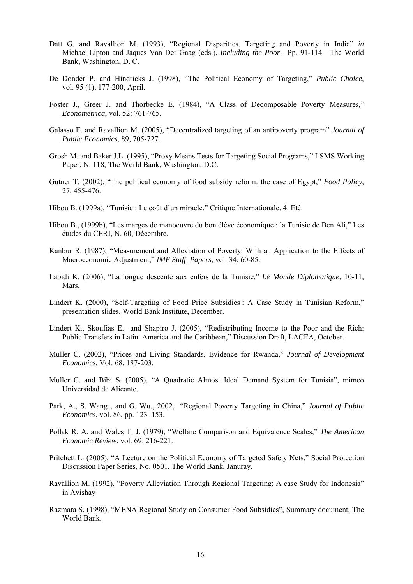- Datt G. and Ravallion M. (1993), "Regional Disparities, Targeting and Poverty in India" *in* Michael Lipton and Jaques Van Der Gaag (eds.), *Including the Poor*. Pp. 91-114. The World Bank, Washington, D. C.
- De Donder P. and Hindricks J. (1998), "The Political Economy of Targeting," *Public Choice*, vol. 95 (1), 177-200, April.
- Foster J., Greer J. and Thorbecke E. (1984), "A Class of Decomposable Poverty Measures," *Econometrica*, vol. 52: 761-765.
- Galasso E. and Ravallion M. (2005), "Decentralized targeting of an antipoverty program" *Journal of Public Economics*, 89, 705-727.
- Grosh M. and Baker J.L. (1995), "Proxy Means Tests for Targeting Social Programs," LSMS Working Paper, N. 118, The World Bank, Washington, D.C.
- Gutner T. (2002), "The political economy of food subsidy reform: the case of Egypt," *Food Policy*, 27, 455-476.
- Hibou B. (1999a), "Tunisie : Le coût d'un miracle," Critique Internationale, 4. Eté.
- Hibou B., (1999b), "Les marges de manoeuvre du bon élève économique : la Tunisie de Ben Ali," Les études du CERI, N. 60, Décembre.
- Kanbur R. (1987), "Measurement and Alleviation of Poverty, With an Application to the Effects of Macroeconomic Adjustment," *IMF Staff Papers*, vol. 34: 60-85.
- Labidi K. (2006), "La longue descente aux enfers de la Tunisie," *Le Monde Diplomatique*, 10-11, Mars.
- Lindert K. (2000), "Self-Targeting of Food Price Subsidies : A Case Study in Tunisian Reform," presentation slides, World Bank Institute, December.
- Lindert K., Skoufias E. and Shapiro J. (2005), "Redistributing Income to the Poor and the Rich: Public Transfers in Latin America and the Caribbean," Discussion Draft, LACEA, October.
- Muller C. (2002), "Prices and Living Standards. Evidence for Rwanda," *Journal of Development Economics*, Vol. 68, 187-203.
- Muller C. and Bibi S. (2005), "A Quadratic Almost Ideal Demand System for Tunisia", mimeo Universidad de Alicante.
- Park, A., S. Wang , and G. Wu., 2002, "Regional Poverty Targeting in China," *Journal of Public Economics*, vol. 86, pp. 123–153.
- Pollak R. A. and Wales T. J. (1979), "Welfare Comparison and Equivalence Scales," *The American Economic Review*, vol. 69: 216-221.
- Pritchett L. (2005), "A Lecture on the Political Economy of Targeted Safety Nets," Social Protection Discussion Paper Series, No. 0501, The World Bank, Januray.
- Ravallion M. (1992), "Poverty Alleviation Through Regional Targeting: A case Study for Indonesia" in Avishay
- Razmara S. (1998), "MENA Regional Study on Consumer Food Subsidies", Summary document, The World Bank.